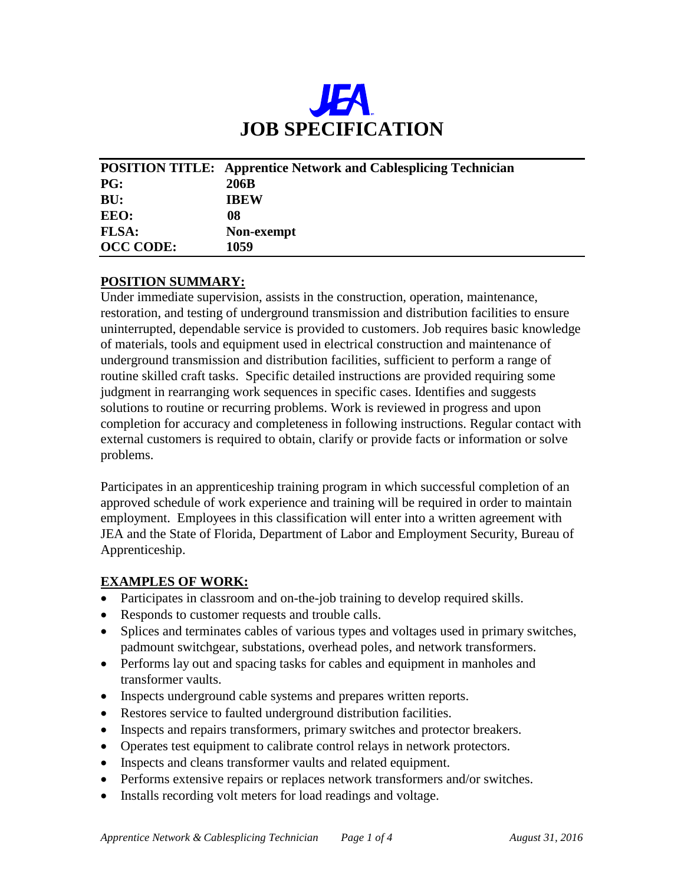

|                  | <b>POSITION TITLE:</b> Apprentice Network and Cablesplicing Technician |
|------------------|------------------------------------------------------------------------|
| <b>PG:</b>       | 206B                                                                   |
| BU:              | <b>IBEW</b>                                                            |
| EEO:             | 08                                                                     |
| <b>FLSA:</b>     | Non-exempt                                                             |
| <b>OCC CODE:</b> | 1059                                                                   |

#### **POSITION SUMMARY:**

Under immediate supervision, assists in the construction, operation, maintenance, restoration, and testing of underground transmission and distribution facilities to ensure uninterrupted, dependable service is provided to customers. Job requires basic knowledge of materials, tools and equipment used in electrical construction and maintenance of underground transmission and distribution facilities, sufficient to perform a range of routine skilled craft tasks. Specific detailed instructions are provided requiring some judgment in rearranging work sequences in specific cases. Identifies and suggests solutions to routine or recurring problems. Work is reviewed in progress and upon completion for accuracy and completeness in following instructions. Regular contact with external customers is required to obtain, clarify or provide facts or information or solve problems.

Participates in an apprenticeship training program in which successful completion of an approved schedule of work experience and training will be required in order to maintain employment. Employees in this classification will enter into a written agreement with JEA and the State of Florida, Department of Labor and Employment Security, Bureau of Apprenticeship.

#### **EXAMPLES OF WORK:**

- Participates in classroom and on-the-job training to develop required skills.
- Responds to customer requests and trouble calls.
- Splices and terminates cables of various types and voltages used in primary switches, padmount switchgear, substations, overhead poles, and network transformers.
- Performs lay out and spacing tasks for cables and equipment in manholes and transformer vaults.
- Inspects underground cable systems and prepares written reports.
- Restores service to faulted underground distribution facilities.
- Inspects and repairs transformers, primary switches and protector breakers.
- Operates test equipment to calibrate control relays in network protectors.
- Inspects and cleans transformer vaults and related equipment.
- Performs extensive repairs or replaces network transformers and/or switches.
- Installs recording volt meters for load readings and voltage.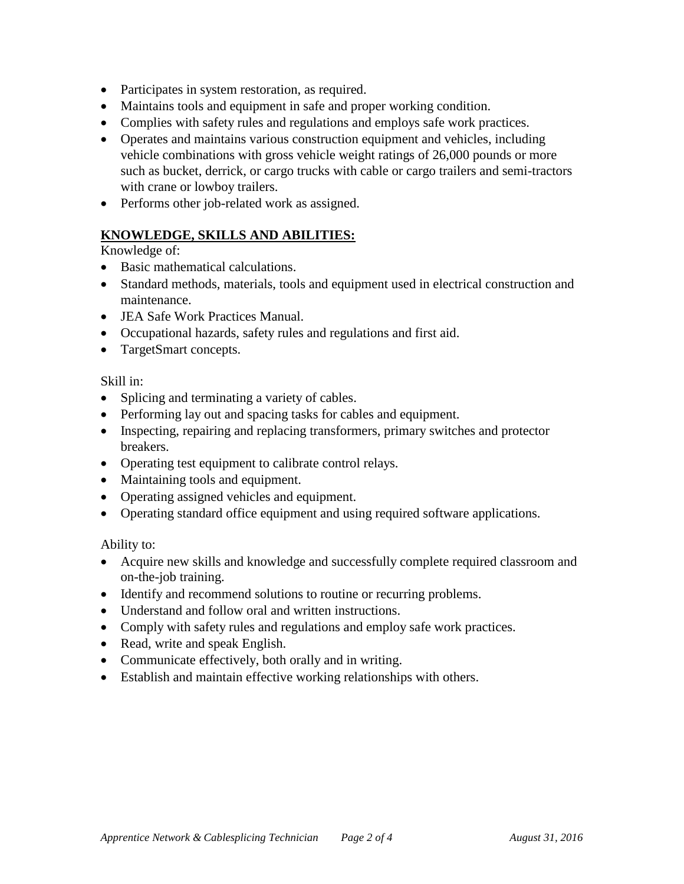- Participates in system restoration, as required.
- Maintains tools and equipment in safe and proper working condition.
- Complies with safety rules and regulations and employs safe work practices.
- Operates and maintains various construction equipment and vehicles, including vehicle combinations with gross vehicle weight ratings of 26,000 pounds or more such as bucket, derrick, or cargo trucks with cable or cargo trailers and semi-tractors with crane or lowboy trailers.
- Performs other job-related work as assigned.

# **KNOWLEDGE, SKILLS AND ABILITIES:**

Knowledge of:

- Basic mathematical calculations.
- Standard methods, materials, tools and equipment used in electrical construction and maintenance.
- JEA Safe Work Practices Manual.
- Occupational hazards, safety rules and regulations and first aid.
- TargetSmart concepts.

Skill in:

- Splicing and terminating a variety of cables.
- Performing lay out and spacing tasks for cables and equipment.
- Inspecting, repairing and replacing transformers, primary switches and protector breakers.
- Operating test equipment to calibrate control relays.
- Maintaining tools and equipment.
- Operating assigned vehicles and equipment.
- Operating standard office equipment and using required software applications.

Ability to:

- Acquire new skills and knowledge and successfully complete required classroom and on-the-job training.
- Identify and recommend solutions to routine or recurring problems.
- Understand and follow oral and written instructions.
- Comply with safety rules and regulations and employ safe work practices.
- Read, write and speak English.
- Communicate effectively, both orally and in writing.
- Establish and maintain effective working relationships with others.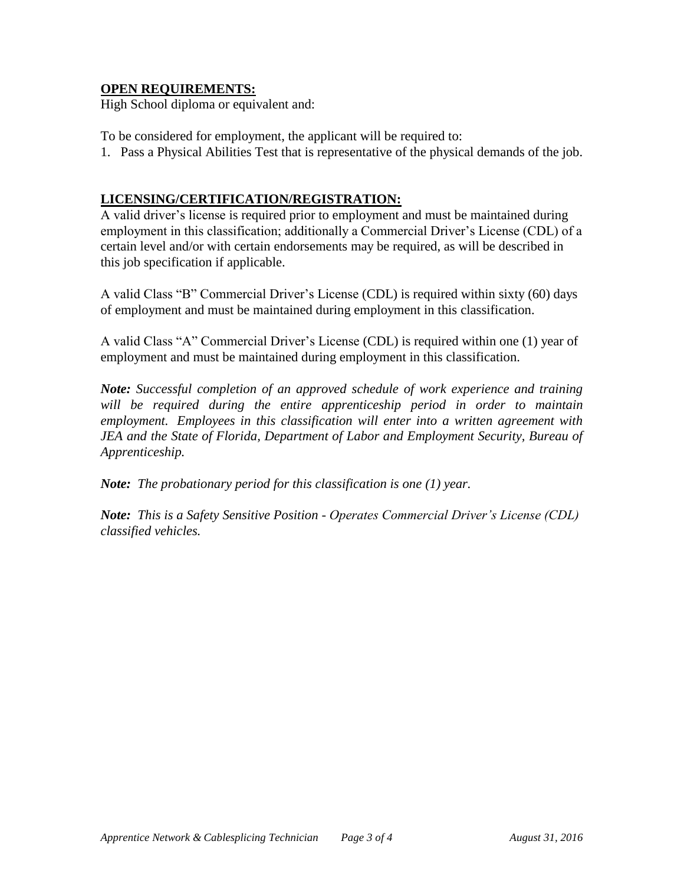## **OPEN REQUIREMENTS:**

High School diploma or equivalent and:

To be considered for employment, the applicant will be required to:

1. Pass a Physical Abilities Test that is representative of the physical demands of the job.

## **LICENSING/CERTIFICATION/REGISTRATION:**

A valid driver's license is required prior to employment and must be maintained during employment in this classification; additionally a Commercial Driver's License (CDL) of a certain level and/or with certain endorsements may be required, as will be described in this job specification if applicable.

A valid Class "B" Commercial Driver's License (CDL) is required within sixty (60) days of employment and must be maintained during employment in this classification.

A valid Class "A" Commercial Driver's License (CDL) is required within one (1) year of employment and must be maintained during employment in this classification.

*Note: Successful completion of an approved schedule of work experience and training will be required during the entire apprenticeship period in order to maintain employment. Employees in this classification will enter into a written agreement with JEA and the State of Florida, Department of Labor and Employment Security, Bureau of Apprenticeship.*

*Note: The probationary period for this classification is one (1) year.*

*Note: This is a Safety Sensitive Position - Operates Commercial Driver's License (CDL) classified vehicles.*